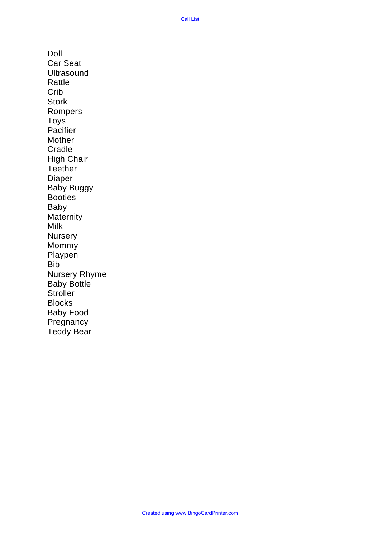Doll Car Seat **Ultrasound** Rattle Crib **Stork** Rompers Toys Pacifier Mother **Cradle** High Chair **Teether** Diaper Baby Buggy Booties Baby **Maternity** Milk **Nursery** Mommy Playpen Bib Nursery Rhyme Baby Bottle **Stroller** Blocks Baby Food **Pregnancy** Teddy Bear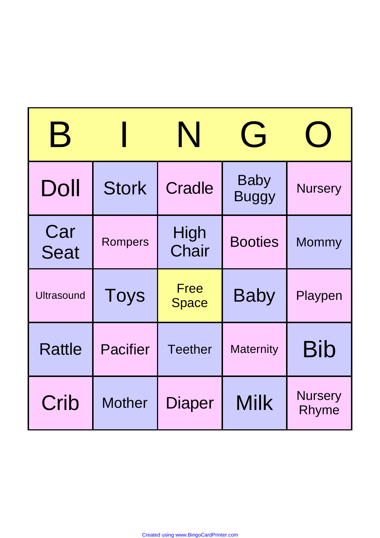| $\mathbf B$        |                 | N                           | G                           |                         |
|--------------------|-----------------|-----------------------------|-----------------------------|-------------------------|
| Doll               | <b>Stork</b>    | Cradle                      | <b>Baby</b><br><b>Buggy</b> | <b>Nursery</b>          |
| Car<br><b>Seat</b> | Rompers         | High<br>Chair               | <b>Booties</b>              | <b>Mommy</b>            |
| <b>Ultrasound</b>  | <b>Toys</b>     | <b>Free</b><br><b>Space</b> | <b>Baby</b>                 | Playpen                 |
| <b>Rattle</b>      | <b>Pacifier</b> | <b>Teether</b>              | <b>Maternity</b>            | <b>Bib</b>              |
| Crib               | <b>Mother</b>   | Diaper                      | <b>Milk</b>                 | <b>Nursery</b><br>Rhyme |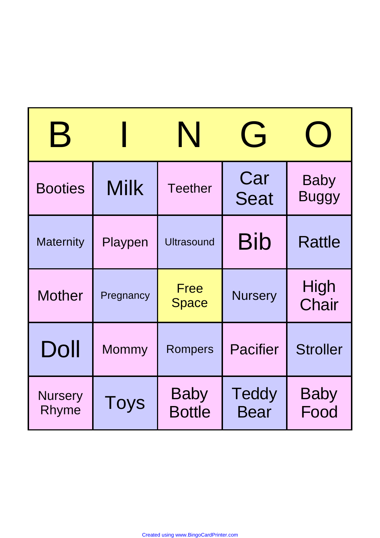| $\bm{\mathsf{B}}$       |             | N                            | G                           |                             |
|-------------------------|-------------|------------------------------|-----------------------------|-----------------------------|
| <b>Booties</b>          | <b>Milk</b> | <b>Teether</b>               | Car<br><b>Seat</b>          | <b>Baby</b><br><b>Buggy</b> |
| <b>Maternity</b>        | Playpen     | <b>Ultrasound</b>            | Bib                         | <b>Rattle</b>               |
| <b>Mother</b>           | Pregnancy   | <b>Free</b><br><b>Space</b>  | <b>Nursery</b>              | High<br>Chair               |
| Doll                    | Mommy       | <b>Rompers</b>               | <b>Pacifier</b>             | <b>Stroller</b>             |
| <b>Nursery</b><br>Rhyme | <b>Toys</b> | <b>Baby</b><br><b>Bottle</b> | <b>Teddy</b><br><b>Bear</b> | <b>Baby</b><br>Food         |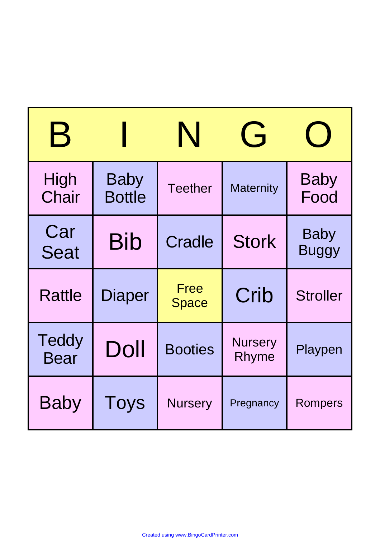| B                    |                              | N                    | $\overline{\mathsf{G}}$ |                             |
|----------------------|------------------------------|----------------------|-------------------------|-----------------------------|
| High<br>Chair        | <b>Baby</b><br><b>Bottle</b> | <b>Teether</b>       | <b>Maternity</b>        | <b>Baby</b><br>Food         |
| Car<br><b>Seat</b>   | <b>Bib</b>                   | <b>Cradle</b>        | <b>Stork</b>            | <b>Baby</b><br><b>Buggy</b> |
| <b>Rattle</b>        | Diaper                       | Free<br><b>Space</b> | Crib                    | <b>Stroller</b>             |
| Teddy<br><b>Bear</b> | Doll                         | <b>Booties</b>       | <b>Nursery</b><br>Rhyme | Playpen                     |
| <b>Baby</b>          | Toys                         | <b>Nursery</b>       | Pregnancy               | Rompers                     |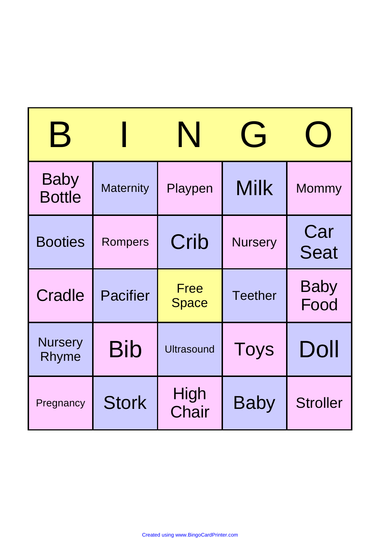| $\bm{\mathsf{B}}$            |                  | N                           | $\overrightarrow{ }$ |                     |
|------------------------------|------------------|-----------------------------|----------------------|---------------------|
| <b>Baby</b><br><b>Bottle</b> | <b>Maternity</b> | Playpen                     | <b>Milk</b>          | Mommy               |
| <b>Booties</b>               | <b>Rompers</b>   | Crib                        | <b>Nursery</b>       | Car<br><b>Seat</b>  |
| <b>Cradle</b>                | <b>Pacifier</b>  | <b>Free</b><br><b>Space</b> | <b>Teether</b>       | <b>Baby</b><br>Food |
| <b>Nursery</b><br>Rhyme      | <b>Bib</b>       | <b>Ultrasound</b>           | <b>Toys</b>          | Doll                |
| Pregnancy                    | <b>Stork</b>     | High<br>Chair               | <b>Baby</b>          | <b>Stroller</b>     |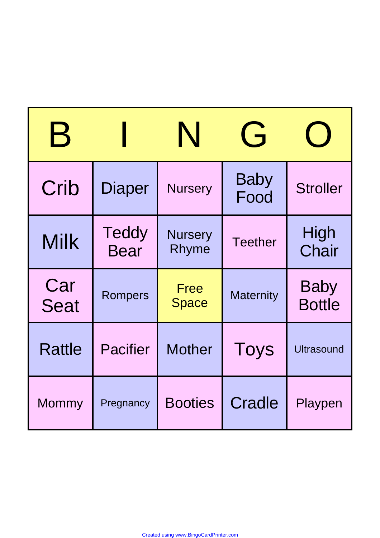| $\bm{\mathsf{B}}$  |                      | N                       | G                   |                              |
|--------------------|----------------------|-------------------------|---------------------|------------------------------|
| Crib               | <b>Diaper</b>        | <b>Nursery</b>          | <b>Baby</b><br>Food | <b>Stroller</b>              |
| <b>Milk</b>        | Teddy<br><b>Bear</b> | <b>Nursery</b><br>Rhyme | <b>Teether</b>      | High<br>Chair                |
| Car<br><b>Seat</b> | Rompers              | Free<br><b>Space</b>    | <b>Maternity</b>    | <b>Baby</b><br><b>Bottle</b> |
| <b>Rattle</b>      | <b>Pacifier</b>      | <b>Mother</b>           | <b>Toys</b>         | <b>Ultrasound</b>            |
| Mommy              | Pregnancy            | <b>Booties</b>          | Cradle              | Playpen                      |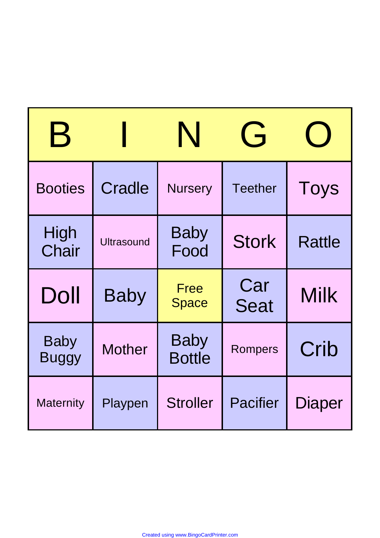| $\bm{\mathsf{B}}$           |                   | N                            | $\overrightarrow{ }$ |               |
|-----------------------------|-------------------|------------------------------|----------------------|---------------|
| <b>Booties</b>              | <b>Cradle</b>     | <b>Nursery</b>               | <b>Teether</b>       | Toys          |
| High<br>Chair               | <b>Ultrasound</b> | <b>Baby</b><br>Food          | <b>Stork</b>         | <b>Rattle</b> |
| Doll                        | <b>Baby</b>       | Free<br><b>Space</b>         | Car<br><b>Seat</b>   | <b>Milk</b>   |
| <b>Baby</b><br><b>Buggy</b> | <b>Mother</b>     | <b>Baby</b><br><b>Bottle</b> | <b>Rompers</b>       | Crib          |
| <b>Maternity</b>            | Playpen           | <b>Stroller</b>              | <b>Pacifier</b>      | Diaper        |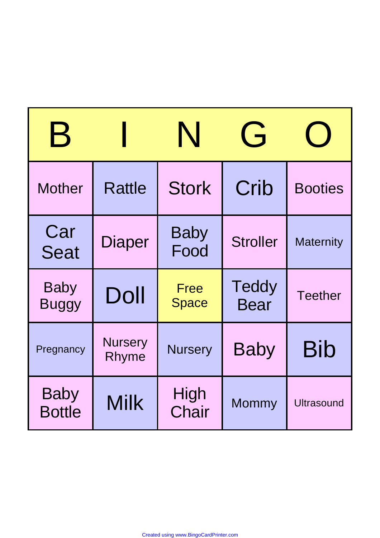| $\bm{\mathsf{B}}$            |                         | N                           | $\overrightarrow{ }$        |                   |
|------------------------------|-------------------------|-----------------------------|-----------------------------|-------------------|
| <b>Mother</b>                | <b>Rattle</b>           | <b>Stork</b>                | Crib                        | <b>Booties</b>    |
| Car<br><b>Seat</b>           | Diaper                  | <b>Baby</b><br>Food         | <b>Stroller</b>             | <b>Maternity</b>  |
| <b>Baby</b><br><b>Buggy</b>  | Doll                    | <b>Free</b><br><b>Space</b> | <b>Teddy</b><br><b>Bear</b> | <b>Teether</b>    |
| Pregnancy                    | <b>Nursery</b><br>Rhyme | <b>Nursery</b>              | <b>Baby</b>                 | <b>Bib</b>        |
| <b>Baby</b><br><b>Bottle</b> | <b>Milk</b>             | High<br>Chair               | <b>Mommy</b>                | <b>Ultrasound</b> |